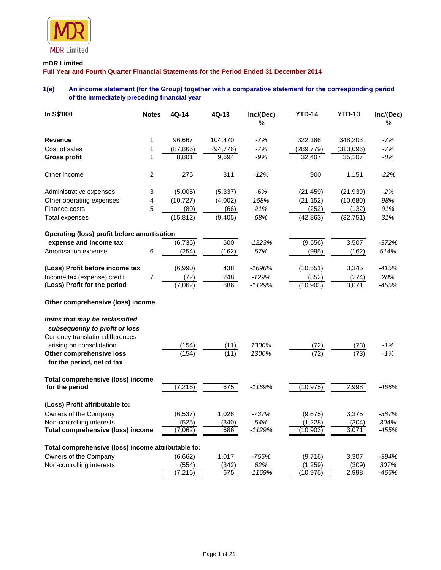

## **mDR Limited**

**Full Year and Fourth Quarter Financial Statements for the Period Ended 31 December 2014**

# **1(a) An income statement (for the Group) together with a comparative statement for the corresponding period of the immediately preceding financial year**

| In S\$'000                                                         | <b>Notes</b>   | 4Q-14     | 4Q-13     | Inc/(Dec)<br>$\%$ | <b>YTD-14</b> | <b>YTD-13</b> | Inc/(Dec)<br>$\%$ |
|--------------------------------------------------------------------|----------------|-----------|-----------|-------------------|---------------|---------------|-------------------|
| <b>Revenue</b>                                                     | 1              | 96,667    | 104,470   | $-7%$             | 322,186       | 348,203       | $-7%$             |
| Cost of sales                                                      | 1              | (87, 866) | (94, 776) | $-7%$             | (289, 779)    | (313,096)     | $-7%$             |
| <b>Gross profit</b>                                                | 1              | 8,801     | 9,694     | -9%               | 32,407        | 35,107        | -8%               |
| Other income                                                       | $\overline{c}$ | 275       | 311       | $-12%$            | 900           | 1,151         | $-22%$            |
| Administrative expenses                                            | 3              | (5,005)   | (5, 337)  | $-6%$             | (21, 459)     | (21, 939)     | $-2%$             |
| Other operating expenses                                           | 4              | (10, 727) | (4,002)   | 168%              | (21, 152)     | (10,680)      | 98%               |
| Finance costs                                                      | 5              | (80)      | (66)      | 21%               | (252)         | (132)         | 91%               |
| Total expenses                                                     |                | (15, 812) | (9, 405)  | 68%               | (42,863)      | (32, 751)     | 31%               |
| <b>Operating (loss) profit before amortisation</b>                 |                |           |           |                   |               |               |                   |
| expense and income tax                                             |                | (6,736)   | 600       | $-1223%$          | (9, 556)      | 3,507         | $-372%$           |
| Amortisation expense                                               | 6              | (254)     | (162)     | 57%               | (995)         | (162)         | 514%              |
| (Loss) Profit before income tax                                    |                | (6,990)   | 438       | -1696%            | (10, 551)     | 3,345         | $-415%$           |
| Income tax (expense) credit                                        | $\overline{7}$ | (72)      | 248       | $-129%$           | (352)         | (274)         | 28%               |
| (Loss) Profit for the period                                       |                | (7,062)   | 686       | $-1129%$          | (10, 903)     | 3,071         | $-455%$           |
| Other comprehensive (loss) income                                  |                |           |           |                   |               |               |                   |
| Items that may be reclassified                                     |                |           |           |                   |               |               |                   |
| subsequently to profit or loss<br>Currency translation differences |                |           |           |                   |               |               |                   |
| arising on consolidation                                           |                | (154)     | (11)      | 1300%             | (72)          | (73)          | $-1%$             |
| Other comprehensive loss<br>for the period, net of tax             |                | (154)     | (11)      | 1300%             | (72)          | (73)          | $-1%$             |
| Total comprehensive (loss) income<br>for the period                |                | (7, 216)  | 675       | $-1169%$          | (10, 975)     | 2,998         | -466%             |
| (Loss) Profit attributable to:                                     |                |           |           |                   |               |               |                   |
| Owners of the Company                                              |                | (6, 537)  | 1,026     | $-737%$           | (9,675)       | 3,375         | $-387%$           |
| Non-controlling interests                                          |                | (525)     | (340)     | 54%               | (1,228)       | (304)         | 304%              |
| <b>Total comprehensive (loss) income</b>                           |                | (7,062)   | 686       | -1129%            | (10,903)      | 3,071         | -455%             |
| Total comprehensive (loss) income attributable to:                 |                |           |           |                   |               |               |                   |
| Owners of the Company                                              |                | (6,662)   | 1,017     | $-755%$           | (9,716)       | 3,307         | $-394%$           |
| Non-controlling interests                                          |                | (554)     | (342)     | 62%               | (1, 259)      | (309)         | 307%              |
|                                                                    |                | (7, 216)  | 675       | $-1169%$          | (10, 975)     | 2,998         | -466%             |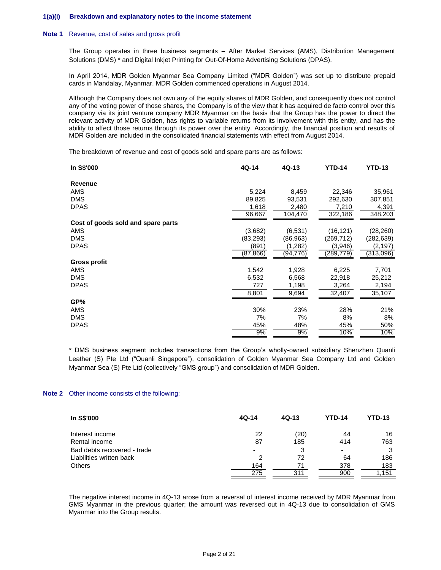#### **1(a)(i) Breakdown and explanatory notes to the income statement**

#### **Note 1** Revenue, cost of sales and gross profit

The Group operates in three business segments – After Market Services (AMS), Distribution Management Solutions (DMS) \* and Digital Inkjet Printing for Out-Of-Home Advertising Solutions (DPAS).

In April 2014, MDR Golden Myanmar Sea Company Limited ("MDR Golden") was set up to distribute prepaid cards in Mandalay, Myanmar. MDR Golden commenced operations in August 2014.

Although the Company does not own any of the equity shares of MDR Golden, and consequently does not control any of the voting power of those shares, the Company is of the view that it has acquired de facto control over this company via its joint venture company MDR Myanmar on the basis that the Group has the power to direct the relevant activity of MDR Golden, has rights to variable returns from its involvement with this entity, and has the ability to affect those returns through its power over the entity. Accordingly, the financial position and results of MDR Golden are included in the consolidated financial statements with effect from August 2014.

The breakdown of revenue and cost of goods sold and spare parts are as follows:

| In S\$'000                         | 4Q-14     | 4Q-13    | <b>YTD-14</b> | <b>YTD-13</b> |
|------------------------------------|-----------|----------|---------------|---------------|
| Revenue                            |           |          |               |               |
| AMS                                | 5,224     | 8,459    | 22,346        | 35,961        |
| <b>DMS</b>                         | 89,825    | 93,531   | 292,630       | 307,851       |
| <b>DPAS</b>                        | 1,618     | 2,480    | 7,210         | 4,391         |
|                                    | 96,667    | 104,470  | 322,186       | 348,203       |
| Cost of goods sold and spare parts |           |          |               |               |
| AMS                                | (3,682)   | (6,531)  | (16, 121)     | (28, 260)     |
| <b>DMS</b>                         | (83, 293) | (86,963) | (269, 712)    | (282,639)     |
| <b>DPAS</b>                        | (891)     | (1,282)  | (3,946)       | (2,197)       |
|                                    | (87, 866) | (94,776) | (289,779)     | (313,096)     |
| <b>Gross profit</b>                |           |          |               |               |
| AMS                                | 1,542     | 1,928    | 6,225         | 7,701         |
| <b>DMS</b>                         | 6,532     | 6,568    | 22,918        | 25,212        |
| DPAS                               | 727       | 1,198    | 3,264         | 2,194         |
|                                    | 8,801     | 9,694    | 32,407        | 35,107        |
| GP%                                |           |          |               |               |
| AMS                                | 30%       | 23%      | 28%           | 21%           |
| <b>DMS</b>                         | 7%        | 7%       | 8%            | 8%            |
| <b>DPAS</b>                        | 45%       | 48%      | 45%           | 50%           |
|                                    | 9%        | 9%       | 10%           | 10%           |

\* DMS business segment includes transactions from the Group's wholly-owned subsidiary Shenzhen Quanli Leather (S) Pte Ltd ("Quanli Singapore"), consolidation of Golden Myanmar Sea Company Ltd and Golden Myanmar Sea (S) Pte Ltd (collectively "GMS group") and consolidation of MDR Golden.

#### **Note 2** Other income consists of the following:

| In S\$'000                  | 4Q-14                    | $4Q-13$ | <b>YTD-14</b> | <b>YTD-13</b> |
|-----------------------------|--------------------------|---------|---------------|---------------|
| Interest income             | 22                       | (20)    | 44            | 16            |
| Rental income               | 87                       | 185     | 414           | 763           |
| Bad debts recovered - trade | $\overline{\phantom{0}}$ | 3       | ٠             | 3             |
| Liabilities written back    | 2                        | 72      | 64            | 186           |
| <b>Others</b>               | 164                      | 71      | 378           | 183           |
|                             | 275                      | 311     | 900           | .151          |

The negative interest income in 4Q-13 arose from a reversal of interest income received by MDR Myanmar from GMS Myanmar in the previous quarter; the amount was reversed out in 4Q-13 due to consolidation of GMS Myanmar into the Group results.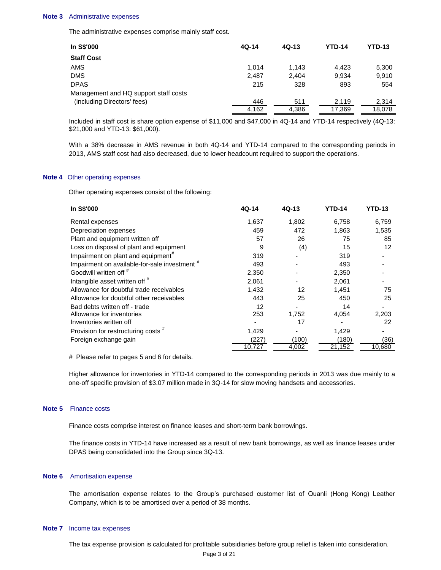#### **Note 3** Administrative expenses

The administrative expenses comprise mainly staff cost.

| In S\$'000                            | $4Q-14$ | $4Q-13$ | <b>YTD-14</b> | <b>YTD-13</b> |
|---------------------------------------|---------|---------|---------------|---------------|
| <b>Staff Cost</b>                     |         |         |               |               |
| AMS                                   | 1.014   | 1.143   | 4.423         | 5,300         |
| DMS                                   | 2.487   | 2.404   | 9.934         | 9.910         |
| DPAS                                  | 215     | 328     | 893           | 554           |
| Management and HQ support staff costs |         |         |               |               |
| (including Directors' fees)           | 446     | 511     | 2.119         | 2.314         |
|                                       | 4.162   | 4,386   | 17,369        | 18.078        |

Included in staff cost is share option expense of \$11,000 and \$47,000 in 4Q-14 and YTD-14 respectively (4Q-13: \$21,000 and YTD-13: \$61,000).

With a 38% decrease in AMS revenue in both 4Q-14 and YTD-14 compared to the corresponding periods in 2013, AMS staff cost had also decreased, due to lower headcount required to support the operations.

#### **Note 4** Other operating expenses

Other operating expenses consist of the following:

| In S\$'000                                     | 4Q-14  | $4Q-13$ | <b>YTD-14</b> | <b>YTD-13</b> |
|------------------------------------------------|--------|---------|---------------|---------------|
| Rental expenses                                | 1,637  | 1,802   | 6,758         | 6,759         |
| Depreciation expenses                          | 459    | 472     | 1,863         | 1,535         |
| Plant and equipment written off                | 57     | 26      | 75            | 85            |
| Loss on disposal of plant and equipment        | 9      | (4)     | 15            | 12            |
| Impairment on plant and equipment <sup>#</sup> | 319    |         | 319           |               |
| Impairment on available-for-sale investment #  | 493    |         | 493           |               |
| Goodwill written off #                         | 2,350  |         | 2,350         |               |
| Intangible asset written off #                 | 2,061  |         | 2,061         |               |
| Allowance for doubtful trade receivables       | 1,432  | 12      | 1,451         | 75            |
| Allowance for doubtful other receivables       | 443    | 25      | 450           | 25            |
| Bad debts written off - trade                  | 12     |         | 14            |               |
| Allowance for inventories                      | 253    | 1,752   | 4,054         | 2,203         |
| Inventories written off                        |        | 17      |               | 22            |
| Provision for restructuring costs #            | 1,429  |         | 1.429         |               |
| Foreign exchange gain                          | (227)  | (100)   | (180)         | (36)          |
|                                                | 10,727 | 4,002   | 21,152        | 10,680        |
|                                                |        |         |               |               |

# Please refer to pages 5 and 6 for details.

Higher allowance for inventories in YTD-14 compared to the corresponding periods in 2013 was due mainly to a one-off specific provision of \$3.07 million made in 3Q-14 for slow moving handsets and accessories.

#### **Note 5** Finance costs

Finance costs comprise interest on finance leases and short-term bank borrowings.

The finance costs in YTD-14 have increased as a result of new bank borrowings, as well as finance leases under DPAS being consolidated into the Group since 3Q-13.

#### **Note 6** Amortisation expense

The amortisation expense relates to the Group's purchased customer list of Quanli (Hong Kong) Leather Company, which is to be amortised over a period of 38 months.

#### **Note 7** Income tax expenses

The tax expense provision is calculated for profitable subsidiaries before group relief is taken into consideration.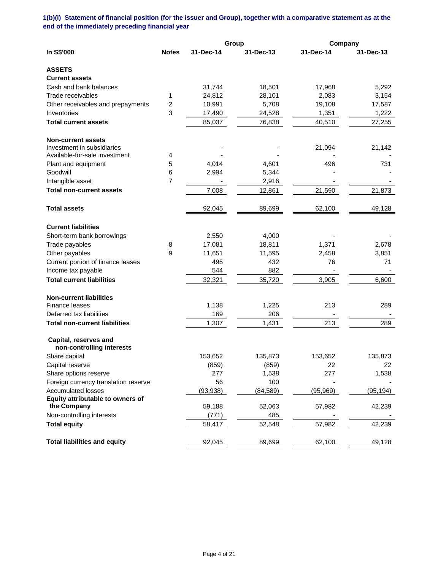# **1(b)(i) Statement of financial position (for the issuer and Group), together with a comparative statement as at the end of the immediately preceding financial year**

|                                                    |              |           | Group     | Company   |           |
|----------------------------------------------------|--------------|-----------|-----------|-----------|-----------|
| In S\$'000                                         | <b>Notes</b> | 31-Dec-14 | 31-Dec-13 | 31-Dec-14 | 31-Dec-13 |
| <b>ASSETS</b>                                      |              |           |           |           |           |
| <b>Current assets</b>                              |              |           |           |           |           |
| Cash and bank balances                             |              | 31,744    | 18,501    | 17,968    | 5,292     |
| Trade receivables                                  | 1            | 24,812    | 28,101    | 2,083     | 3,154     |
| Other receivables and prepayments                  | 2            | 10,991    | 5,708     | 19,108    | 17,587    |
| Inventories                                        | 3            | 17,490    | 24,528    | 1,351     | 1,222     |
| <b>Total current assets</b>                        |              | 85,037    | 76,838    | 40,510    | 27,255    |
| <b>Non-current assets</b>                          |              |           |           |           |           |
| Investment in subsidiaries                         |              |           |           | 21,094    | 21,142    |
| Available-for-sale investment                      | 4            |           |           |           |           |
| Plant and equipment                                | 5            | 4,014     | 4,601     | 496       | 731       |
| Goodwill                                           | 6            | 2,994     | 5,344     |           |           |
| Intangible asset                                   | 7            |           | 2,916     |           |           |
| <b>Total non-current assets</b>                    |              | 7,008     | 12,861    | 21,590    | 21,873    |
| <b>Total assets</b>                                |              | 92,045    | 89,699    | 62,100    | 49,128    |
| <b>Current liabilities</b>                         |              |           |           |           |           |
| Short-term bank borrowings                         |              | 2,550     | 4,000     |           |           |
| Trade payables                                     | 8            | 17,081    | 18,811    | 1,371     | 2,678     |
| Other payables                                     | 9            | 11,651    | 11,595    | 2,458     | 3,851     |
| Current portion of finance leases                  |              | 495       | 432       | 76        | 71        |
| Income tax payable                                 |              | 544       | 882       |           |           |
| <b>Total current liabilities</b>                   |              | 32,321    | 35,720    | 3,905     | 6,600     |
| <b>Non-current liabilities</b>                     |              |           |           |           |           |
| Finance leases                                     |              | 1,138     | 1,225     | 213       | 289       |
| Deferred tax liabilities                           |              | 169       | 206       |           |           |
| <b>Total non-current liabilities</b>               |              | 1,307     | 1,431     | 213       | 289       |
| Capital, reserves and<br>non-controlling interests |              |           |           |           |           |
| Share capital                                      |              | 153,652   | 135,873   | 153,652   | 135,873   |
| Capital reserve                                    |              | (859)     | (859)     | 22        | 22        |
| Share options reserve                              |              | 277       | 1,538     | 277       | 1,538     |
| Foreign currency translation reserve               |              | 56        | 100       |           |           |
| <b>Accumulated losses</b>                          |              | (93, 938) | (84, 589) | (95, 969) | (95, 194) |
| Equity attributable to owners of                   |              |           |           |           |           |
| the Company                                        |              | 59,188    | 52,063    | 57,982    | 42,239    |
| Non-controlling interests                          |              | (771)     | 485       |           |           |
| <b>Total equity</b>                                |              | 58,417    | 52,548    | 57,982    | 42,239    |
| <b>Total liabilities and equity</b>                |              | 92,045    | 89,699    | 62,100    | 49,128    |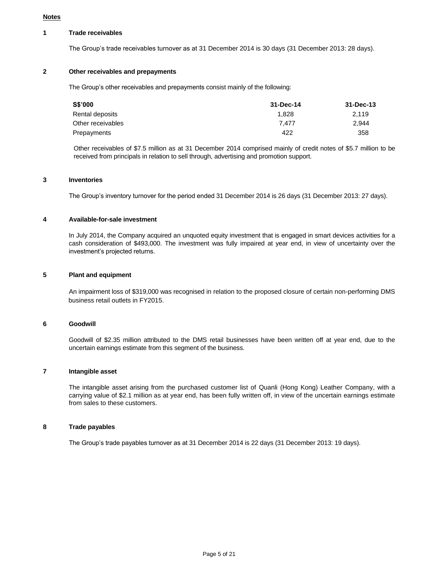#### **Notes**

### **1 Trade receivables**

The Group's trade receivables turnover as at 31 December 2014 is 30 days (31 December 2013: 28 days).

# **2 Other receivables and prepayments**

The Group's other receivables and prepayments consist mainly of the following:

| S\$'000           | 31-Dec-14 | 31-Dec-13 |
|-------------------|-----------|-----------|
| Rental deposits   | 1.828     | 2.119     |
| Other receivables | 7.477     | 2.944     |
| Prepayments       | 422       | 358       |

Other receivables of \$7.5 million as at 31 December 2014 comprised mainly of credit notes of \$5.7 million to be received from principals in relation to sell through, advertising and promotion support.

### **3 Inventories**

The Group's inventory turnover for the period ended 31 December 2014 is 26 days (31 December 2013: 27 days).

### **4 Available-for-sale investment**

In July 2014, the Company acquired an unquoted equity investment that is engaged in smart devices activities for a cash consideration of \$493,000. The investment was fully impaired at year end, in view of uncertainty over the investment's projected returns.

### **5 Plant and equipment**

An impairment loss of \$319,000 was recognised in relation to the proposed closure of certain non-performing DMS business retail outlets in FY2015.

### **6 Goodwill**

Goodwill of \$2.35 million attributed to the DMS retail businesses have been written off at year end, due to the uncertain earnings estimate from this segment of the business.

#### **7 Intangible asset**

The intangible asset arising from the purchased customer list of Quanli (Hong Kong) Leather Company, with a carrying value of \$2.1 million as at year end, has been fully written off, in view of the uncertain earnings estimate from sales to these customers.

### **8 Trade payables**

The Group's trade payables turnover as at 31 December 2014 is 22 days (31 December 2013: 19 days).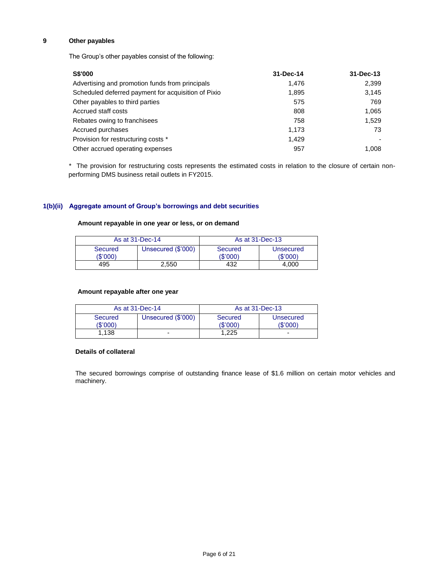# **9 Other payables**

The Group's other payables consist of the following:

| <b>S\$'000</b>                                      | 31-Dec-14 | 31-Dec-13 |
|-----------------------------------------------------|-----------|-----------|
| Advertising and promotion funds from principals     | 1.476     | 2,399     |
| Scheduled deferred payment for acquisition of Pixio | 1,895     | 3,145     |
| Other payables to third parties                     | 575       | 769       |
| Accrued staff costs                                 | 808       | 1,065     |
| Rebates owing to franchisees                        | 758       | 1,529     |
| Accrued purchases                                   | 1,173     | 73        |
| Provision for restructuring costs *                 | 1.429     |           |
| Other accrued operating expenses                    | 957       | 1,008     |

\* The provision for restructuring costs represents the estimated costs in relation to the closure of certain nonperforming DMS business retail outlets in FY2015.

# **1(b)(ii) Aggregate amount of Group's borrowings and debt securities**

## **Amount repayable in one year or less, or on demand**

| As at 31-Dec-14            |                    | As at 31-Dec-13            |                              |  |
|----------------------------|--------------------|----------------------------|------------------------------|--|
| <b>Secured</b><br>(\$'000) | Unsecured (\$'000) | <b>Secured</b><br>'\$'000) | <b>Unsecured</b><br>(\$'000) |  |
| 495                        | 2.550              | 432                        | 4.000                        |  |

### **Amount repayable after one year**

| As at 31-Dec-14     |                    | As at 31-Dec-13            |                       |
|---------------------|--------------------|----------------------------|-----------------------|
| Secured<br>(\$'000) | Unsecured (\$'000) | <b>Secured</b><br>(\$'000) | Unsecured<br>(\$'000) |
| 1.138               | -                  | 1.225                      | -                     |

#### **Details of collateral**

The secured borrowings comprise of outstanding finance lease of \$1.6 million on certain motor vehicles and machinery.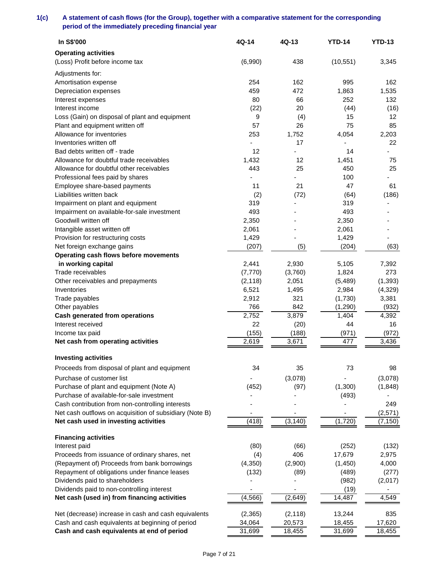# **1(c) A statement of cash flows (for the Group), together with a comparative statement for the corresponding period of the immediately preceding financial year**

| In S\$'000                                              | 4Q-14    | 4Q-13     | <b>YTD-14</b> | <b>YTD-13</b> |
|---------------------------------------------------------|----------|-----------|---------------|---------------|
| <b>Operating activities</b>                             |          |           |               |               |
| (Loss) Profit before income tax                         | (6,990)  | 438       | (10, 551)     | 3,345         |
| Adjustments for:                                        |          |           |               |               |
| Amortisation expense                                    | 254      | 162       | 995           | 162           |
| Depreciation expenses                                   | 459      | 472       | 1,863         | 1,535         |
|                                                         | 80       | 66        | 252           | 132           |
| Interest expenses<br>Interest income                    | (22)     | 20        | (44)          | (16)          |
| Loss (Gain) on disposal of plant and equipment          |          |           | 15            | 12            |
|                                                         | 9<br>57  | (4)<br>26 |               |               |
| Plant and equipment written off                         |          |           | 75            | 85            |
| Allowance for inventories                               | 253      | 1,752     | 4,054         | 2,203         |
| Inventories written off                                 | 12       | 17        |               | 22            |
| Bad debts written off - trade                           |          |           | 14            |               |
| Allowance for doubtful trade receivables                | 1,432    | 12        | 1,451         | 75            |
| Allowance for doubtful other receivables                | 443      | 25        | 450           | 25            |
| Professional fees paid by shares                        |          |           | 100           |               |
| Employee share-based payments                           | 11       | 21        | 47            | 61            |
| Liabilities written back                                | (2)      | (72)      | (64)          | (186)         |
| Impairment on plant and equipment                       | 319      |           | 319           |               |
| Impairment on available-for-sale investment             | 493      |           | 493           |               |
| Goodwill written off                                    | 2,350    |           | 2,350         |               |
| Intangible asset written off                            | 2,061    |           | 2,061         |               |
| Provision for restructuring costs                       | 1,429    |           | 1,429         |               |
| Net foreign exchange gains                              | (207)    | (5)       | (204)         | (63)          |
| Operating cash flows before movements                   |          |           |               |               |
| in working capital                                      | 2,441    | 2,930     | 5,105         | 7,392         |
| Trade receivables                                       | (7, 770) | (3,760)   | 1,824         | 273           |
| Other receivables and prepayments                       | (2, 118) | 2,051     | (5, 489)      | (1, 393)      |
| Inventories                                             | 6,521    | 1,495     | 2,984         | (4,329)       |
| Trade payables                                          | 2,912    | 321       | (1,730)       | 3,381         |
| Other payables                                          | 766      | 842       | (1,290)       | (932)         |
| <b>Cash generated from operations</b>                   | 2,752    | 3,879     | 1,404         | 4,392         |
| Interest received                                       | 22       | (20)      | 44            | 16            |
| Income tax paid                                         | (155)    | (188)     | (971)         | (972)         |
| Net cash from operating activities                      | 2,619    | 3,671     | 477           | 3,436         |
| <b>Investing activities</b>                             |          |           |               |               |
| Proceeds from disposal of plant and equipment           | 34       | 35        | 73            | 98            |
| Purchase of customer list                               |          | (3,078)   |               | (3,078)       |
| Purchase of plant and equipment (Note A)                | (452)    | (97)      | (1,300)       | (1,848)       |
| Purchase of available-for-sale investment               |          |           | (493)         |               |
| Cash contribution from non-controlling interests        |          |           |               | 249           |
| Net cash outflows on acquisition of subsidiary (Note B) |          |           |               | (2,571)       |
| Net cash used in investing activities                   | (418)    | (3, 140)  | (1,720)       | (7, 150)      |
| <b>Financing activities</b>                             |          |           |               |               |
| Interest paid                                           | (80)     | (66)      | (252)         | (132)         |
| Proceeds from issuance of ordinary shares, net          | (4)      | 406       | 17,679        | 2,975         |
| (Repayment of) Proceeds from bank borrowings            | (4, 350) | (2,900)   | (1, 450)      | 4,000         |
| Repayment of obligations under finance leases           | (132)    | (89)      | (489)         | (277)         |
| Dividends paid to shareholders                          |          |           | (982)         | (2,017)       |
| Dividends paid to non-controlling interest              |          |           | (19)          | -             |
| Net cash (used in) from financing activities            | (4, 566) | (2,649)   | 14,487        | 4,549         |
|                                                         |          |           |               |               |
| Net (decrease) increase in cash and cash equivalents    | (2, 365) | (2, 118)  | 13,244        | 835           |
| Cash and cash equivalents at beginning of period        | 34,064   | 20,573    | 18,455        | 17,620        |
| Cash and cash equivalents at end of period              | 31,699   | 18,455    | 31,699        | 18,455        |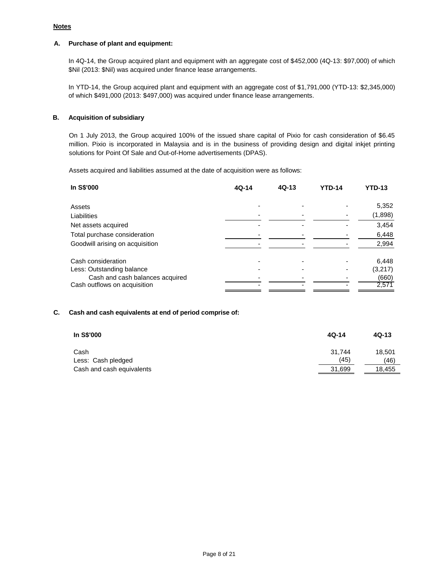## **Notes**

## **A. Purchase of plant and equipment:**

In 4Q-14, the Group acquired plant and equipment with an aggregate cost of \$452,000 (4Q-13: \$97,000) of which \$Nil (2013: \$Nil) was acquired under finance lease arrangements.

In YTD-14, the Group acquired plant and equipment with an aggregate cost of \$1,791,000 (YTD-13: \$2,345,000) of which \$491,000 (2013: \$497,000) was acquired under finance lease arrangements.

### **B. Acquisition of subsidiary**

On 1 July 2013, the Group acquired 100% of the issued share capital of Pixio for cash consideration of \$6.45 million. Pixio is incorporated in Malaysia and is in the business of providing design and digital inkjet printing solutions for Point Of Sale and Out-of-Home advertisements (DPAS).

Assets acquired and liabilities assumed at the date of acquisition were as follows:

| In S\$'000                      | $4Q-14$ | $4Q-13$ | <b>YTD-14</b> | <b>YTD-13</b> |
|---------------------------------|---------|---------|---------------|---------------|
| Assets                          |         |         |               | 5,352         |
| Liabilities                     |         |         |               | (1,898)       |
| Net assets acquired             |         |         |               | 3,454         |
| Total purchase consideration    |         |         |               | 6,448         |
| Goodwill arising on acquisition |         |         |               | 2,994         |
| Cash consideration              |         |         |               | 6,448         |
| Less: Outstanding balance       |         |         |               | (3,217)       |
| Cash and cash balances acquired |         |         |               | (660)         |
| Cash outflows on acquisition    |         |         |               | 2,571         |

### **C. Cash and cash equivalents at end of period comprise of:**

| In S\$'000                | $4Q-14$ | $4Q-13$ |
|---------------------------|---------|---------|
| Cash                      | 31.744  | 18.501  |
| Less: Cash pledged        | (45)    | (46)    |
| Cash and cash equivalents | 31,699  | 18.455  |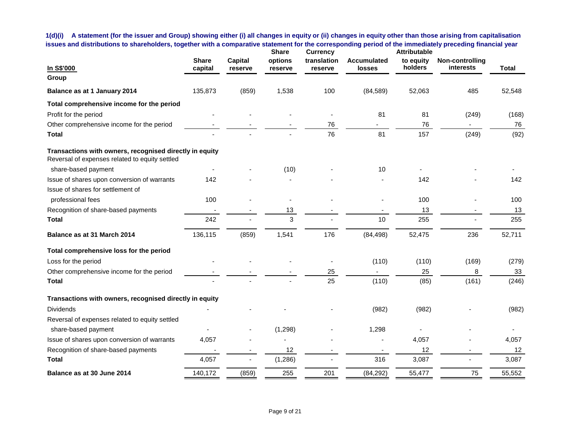**1(d)(i) A statement (for the issuer and Group) showing either (i) all changes in equity or (ii) changes in equity other than those arising from capitalisation issues and distributions to shareholders, together with a comparative statement for the corresponding period of the immediately preceding financial year**

| In S\$'000                                                                                                | <b>Share</b><br>capital | <b>Capital</b><br>reserve | <b>Share</b><br>options<br>reserve | <b>Currency</b><br>translation<br>reserve | <b>Accumulated</b><br><b>losses</b> | <b>Attributable</b><br>to equity<br>holders | Non-controlling<br>interests | <b>Total</b> |
|-----------------------------------------------------------------------------------------------------------|-------------------------|---------------------------|------------------------------------|-------------------------------------------|-------------------------------------|---------------------------------------------|------------------------------|--------------|
| Group                                                                                                     |                         |                           |                                    |                                           |                                     |                                             |                              |              |
| Balance as at 1 January 2014                                                                              | 135,873                 | (859)                     | 1,538                              | 100                                       | (84, 589)                           | 52,063                                      | 485                          | 52,548       |
| Total comprehensive income for the period                                                                 |                         |                           |                                    |                                           |                                     |                                             |                              |              |
| Profit for the period                                                                                     |                         |                           |                                    |                                           | 81                                  | 81                                          | (249)                        | (168)        |
| Other comprehensive income for the period                                                                 |                         |                           |                                    | 76                                        |                                     | 76                                          |                              | 76           |
| <b>Total</b>                                                                                              |                         |                           |                                    | 76                                        | 81                                  | 157                                         | (249)                        | (92)         |
| Transactions with owners, recognised directly in equity<br>Reversal of expenses related to equity settled |                         |                           |                                    |                                           |                                     |                                             |                              |              |
| share-based payment                                                                                       |                         |                           | (10)                               |                                           | 10                                  |                                             |                              |              |
| Issue of shares upon conversion of warrants                                                               | 142                     |                           |                                    |                                           |                                     | 142                                         |                              | 142          |
| Issue of shares for settlement of                                                                         |                         |                           |                                    |                                           |                                     |                                             |                              |              |
| professional fees                                                                                         | 100                     |                           |                                    |                                           |                                     | 100                                         |                              | 100          |
| Recognition of share-based payments                                                                       |                         |                           | 13                                 |                                           |                                     | 13                                          |                              | 13           |
| <b>Total</b>                                                                                              | 242                     |                           | 3                                  |                                           | 10                                  | 255                                         |                              | 255          |
| Balance as at 31 March 2014                                                                               | 136,115                 | (859)                     | 1,541                              | 176                                       | (84, 498)                           | 52,475                                      | 236                          | 52,711       |
| Total comprehensive loss for the period                                                                   |                         |                           |                                    |                                           |                                     |                                             |                              |              |
| Loss for the period                                                                                       |                         |                           |                                    |                                           | (110)                               | (110)                                       | (169)                        | (279)        |
| Other comprehensive income for the period                                                                 |                         |                           |                                    | 25                                        |                                     | 25                                          | 8                            | 33           |
| <b>Total</b>                                                                                              |                         |                           |                                    | 25                                        | (110)                               | (85)                                        | (161)                        | (246)        |
| Transactions with owners, recognised directly in equity                                                   |                         |                           |                                    |                                           |                                     |                                             |                              |              |
| <b>Dividends</b>                                                                                          |                         |                           |                                    |                                           | (982)                               | (982)                                       |                              | (982)        |
| Reversal of expenses related to equity settled                                                            |                         |                           |                                    |                                           |                                     |                                             |                              |              |
| share-based payment                                                                                       |                         |                           | (1, 298)                           |                                           | 1,298                               |                                             |                              |              |
| Issue of shares upon conversion of warrants                                                               | 4,057                   |                           |                                    |                                           |                                     | 4,057                                       |                              | 4,057        |
| Recognition of share-based payments                                                                       |                         |                           | 12                                 |                                           |                                     | 12                                          | $\blacksquare$               | 12           |
| <b>Total</b>                                                                                              | 4,057                   |                           | (1, 286)                           |                                           | 316                                 | 3,087                                       |                              | 3,087        |
| Balance as at 30 June 2014                                                                                | 140,172                 | (859)                     | 255                                | 201                                       | (84, 292)                           | 55,477                                      | 75                           | 55,552       |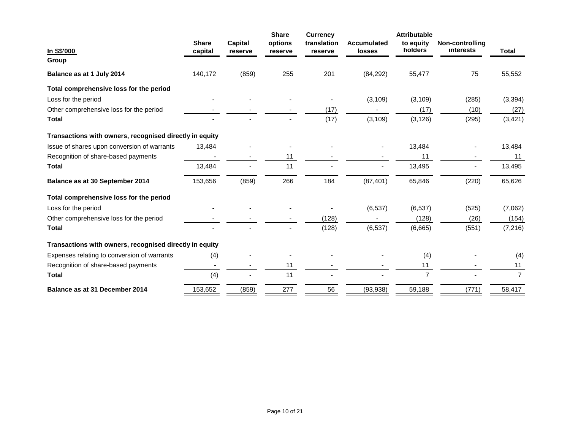|                                                         |              |                | <b>Share</b> | <b>Currency</b> |                    | <b>Attributable</b> |                        |                |
|---------------------------------------------------------|--------------|----------------|--------------|-----------------|--------------------|---------------------|------------------------|----------------|
|                                                         | <b>Share</b> | <b>Capital</b> | options      | translation     | <b>Accumulated</b> | to equity           | <b>Non-controlling</b> |                |
| In S\$'000                                              | capital      | reserve        | reserve      | reserve         | <b>losses</b>      | holders             | interests              | <b>Total</b>   |
| Group                                                   |              |                |              |                 |                    |                     |                        |                |
| Balance as at 1 July 2014                               | 140,172      | (859)          | 255          | 201             | (84, 292)          | 55,477              | 75                     | 55,552         |
| Total comprehensive loss for the period                 |              |                |              |                 |                    |                     |                        |                |
| Loss for the period                                     |              |                |              |                 | (3, 109)           | (3, 109)            | (285)                  | (3, 394)       |
| Other comprehensive loss for the period                 |              |                |              | (17)            |                    | (17)                | (10)                   | (27)           |
| <b>Total</b>                                            |              |                |              | (17)            | (3, 109)           | (3, 126)            | (295)                  | (3, 421)       |
| Transactions with owners, recognised directly in equity |              |                |              |                 |                    |                     |                        |                |
| Issue of shares upon conversion of warrants             | 13,484       |                |              |                 |                    | 13,484              |                        | 13,484         |
| Recognition of share-based payments                     |              |                | 11           |                 |                    | 11                  |                        | 11             |
| <b>Total</b>                                            | 13,484       |                | 11           |                 |                    | 13,495              |                        | 13,495         |
| Balance as at 30 September 2014                         | 153,656      | (859)          | 266          | 184             | (87, 401)          | 65,846              | (220)                  | 65,626         |
| Total comprehensive loss for the period                 |              |                |              |                 |                    |                     |                        |                |
| Loss for the period                                     |              |                |              |                 | (6, 537)           | (6, 537)            | (525)                  | (7,062)        |
| Other comprehensive loss for the period                 |              |                |              | (128)           |                    | (128)               | (26)                   | (154)          |
| <b>Total</b>                                            |              |                |              | (128)           | (6, 537)           | (6,665)             | (551)                  | (7, 216)       |
| Transactions with owners, recognised directly in equity |              |                |              |                 |                    |                     |                        |                |
| Expenses relating to conversion of warrants             | (4)          |                |              |                 |                    | (4)                 |                        | (4)            |
| Recognition of share-based payments                     |              |                | 11           |                 |                    | 11                  |                        | 11             |
| <b>Total</b>                                            | (4)          |                | 11           |                 |                    | $\overline{7}$      |                        | $\overline{7}$ |
| Balance as at 31 December 2014                          | 153,652      | (859)          | 277          | 56              | (93, 938)          | 59,188              | (771)                  | 58,417         |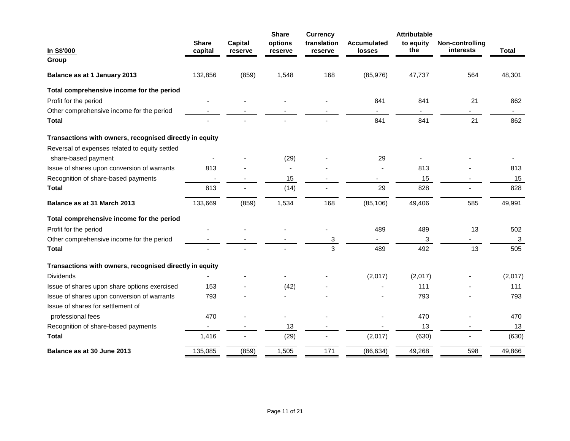| In S\$'000                                              | <b>Share</b><br>capital  | <b>Capital</b><br>reserve | <b>Share</b><br>options<br>reserve | <b>Currency</b><br>translation<br>reserve | <b>Accumulated</b><br>losses | <b>Attributable</b><br>to equity<br>the | Non-controlling<br>interests | <b>Total</b> |
|---------------------------------------------------------|--------------------------|---------------------------|------------------------------------|-------------------------------------------|------------------------------|-----------------------------------------|------------------------------|--------------|
| Group                                                   |                          |                           |                                    |                                           |                              |                                         |                              |              |
| Balance as at 1 January 2013                            | 132,856                  | (859)                     | 1,548                              | 168                                       | (85, 976)                    | 47,737                                  | 564                          | 48,301       |
| Total comprehensive income for the period               |                          |                           |                                    |                                           |                              |                                         |                              |              |
| Profit for the period                                   |                          |                           |                                    |                                           | 841                          | 841                                     | 21                           | 862          |
| Other comprehensive income for the period               |                          |                           |                                    |                                           | $\sim$                       | ۰.                                      | $\sim$                       | н.           |
| <b>Total</b>                                            |                          |                           |                                    |                                           | 841                          | 841                                     | 21                           | 862          |
| Transactions with owners, recognised directly in equity |                          |                           |                                    |                                           |                              |                                         |                              |              |
| Reversal of expenses related to equity settled          |                          |                           |                                    |                                           |                              |                                         |                              |              |
| share-based payment                                     |                          |                           | (29)                               |                                           | 29                           |                                         |                              |              |
| Issue of shares upon conversion of warrants             | 813                      |                           |                                    |                                           |                              | 813                                     |                              | 813          |
| Recognition of share-based payments                     | $\overline{\phantom{a}}$ |                           | 15                                 |                                           | $\blacksquare$               | 15                                      |                              | 15           |
| <b>Total</b>                                            | 813                      |                           | (14)                               |                                           | 29                           | 828                                     |                              | 828          |
| Balance as at 31 March 2013                             | 133,669                  | (859)                     | 1,534                              | 168                                       | (85, 106)                    | 49,406                                  | 585                          | 49,991       |
| Total comprehensive income for the period               |                          |                           |                                    |                                           |                              |                                         |                              |              |
| Profit for the period                                   |                          |                           |                                    |                                           | 489                          | 489                                     | 13                           | 502          |
| Other comprehensive income for the period               |                          |                           |                                    | 3                                         |                              | 3                                       |                              | 3            |
| <b>Total</b>                                            |                          |                           |                                    | 3                                         | 489                          | 492                                     | 13                           | 505          |
| Transactions with owners, recognised directly in equity |                          |                           |                                    |                                           |                              |                                         |                              |              |
| <b>Dividends</b>                                        |                          |                           |                                    |                                           | (2,017)                      | (2,017)                                 |                              | (2,017)      |
| Issue of shares upon share options exercised            | 153                      |                           | (42)                               |                                           |                              | 111                                     |                              | 111          |
| Issue of shares upon conversion of warrants             | 793                      |                           |                                    |                                           |                              | 793                                     |                              | 793          |
| Issue of shares for settlement of                       |                          |                           |                                    |                                           |                              |                                         |                              |              |
| professional fees                                       | 470                      |                           |                                    |                                           |                              | 470                                     |                              | 470          |
| Recognition of share-based payments                     |                          |                           | 13                                 |                                           |                              | 13                                      |                              | 13           |
| <b>Total</b>                                            | 1,416                    |                           | (29)                               |                                           | (2,017)                      | (630)                                   |                              | (630)        |
| Balance as at 30 June 2013                              | 135,085                  | (859)                     | 1,505                              | 171                                       | (86, 634)                    | 49,268                                  | 598                          | 49,866       |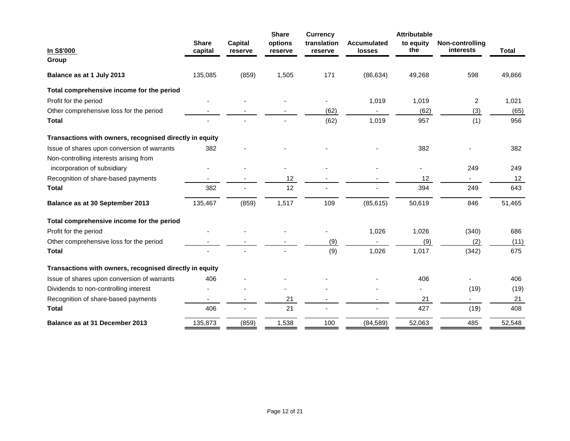| In S\$'000                                              | <b>Share</b><br>capital | <b>Capital</b><br>reserve | <b>Share</b><br>options<br>reserve | <b>Currency</b><br>translation<br>reserve | <b>Accumulated</b><br><b>losses</b> | <b>Attributable</b><br>to equity<br>the | <b>Non-controlling</b><br>interests | <b>Total</b> |
|---------------------------------------------------------|-------------------------|---------------------------|------------------------------------|-------------------------------------------|-------------------------------------|-----------------------------------------|-------------------------------------|--------------|
| Group<br>Balance as at 1 July 2013                      | 135,085                 | (859)                     | 1,505                              | 171                                       | (86, 634)                           | 49,268                                  | 598                                 | 49,866       |
| Total comprehensive income for the period               |                         |                           |                                    |                                           |                                     |                                         |                                     |              |
| Profit for the period                                   |                         |                           |                                    |                                           | 1,019                               | 1,019                                   | 2                                   | 1,021        |
| Other comprehensive loss for the period                 |                         |                           |                                    | (62)                                      |                                     | (62)                                    | (3)                                 | (65)         |
| <b>Total</b>                                            |                         |                           |                                    | (62)                                      | 1,019                               | 957                                     | (1)                                 | 956          |
| Transactions with owners, recognised directly in equity |                         |                           |                                    |                                           |                                     |                                         |                                     |              |
| Issue of shares upon conversion of warrants             | 382                     |                           |                                    |                                           |                                     | 382                                     |                                     | 382          |
| Non-controlling interests arising from                  |                         |                           |                                    |                                           |                                     |                                         |                                     |              |
| incorporation of subsidiary                             |                         |                           |                                    |                                           |                                     |                                         | 249                                 | 249          |
| Recognition of share-based payments                     |                         |                           | 12                                 |                                           |                                     | 12                                      |                                     | 12           |
| <b>Total</b>                                            | 382                     |                           | 12                                 |                                           |                                     | 394                                     | 249                                 | 643          |
| Balance as at 30 September 2013                         | 135,467                 | (859)                     | 1,517                              | 109                                       | (85, 615)                           | 50,619                                  | 846                                 | 51,465       |
| Total comprehensive income for the period               |                         |                           |                                    |                                           |                                     |                                         |                                     |              |
| Profit for the period                                   |                         |                           |                                    |                                           | 1,026                               | 1,026                                   | (340)                               | 686          |
| Other comprehensive loss for the period                 |                         |                           |                                    | (9)                                       |                                     | (9)                                     | (2)                                 | (11)         |
| <b>Total</b>                                            |                         |                           |                                    | (9)                                       | 1,026                               | 1,017                                   | (342)                               | 675          |
| Transactions with owners, recognised directly in equity |                         |                           |                                    |                                           |                                     |                                         |                                     |              |
| Issue of shares upon conversion of warrants             | 406                     |                           |                                    |                                           |                                     | 406                                     |                                     | 406          |
| Dividends to non-controlling interest                   |                         |                           |                                    |                                           |                                     |                                         | (19)                                | (19)         |
| Recognition of share-based payments                     |                         |                           | 21                                 |                                           |                                     | 21                                      |                                     | 21           |
| <b>Total</b>                                            | 406                     |                           | 21                                 |                                           |                                     | 427                                     | (19)                                | 408          |
| <b>Balance as at 31 December 2013</b>                   | 135,873                 | (859)                     | 1,538                              | 100                                       | (84, 589)                           | 52,063                                  | 485                                 | 52,548       |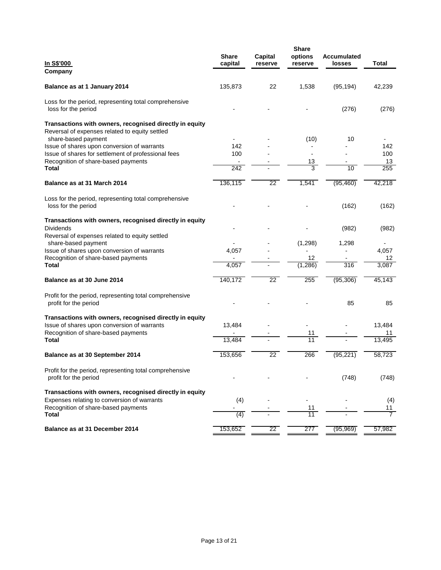| <u>In S\$'000</u><br>Company                                                                                                                  | <b>Share</b><br>capital | Capital<br>reserve | <b>Share</b><br>options<br>reserve | <b>Accumulated</b><br>losses | Total          |
|-----------------------------------------------------------------------------------------------------------------------------------------------|-------------------------|--------------------|------------------------------------|------------------------------|----------------|
| Balance as at 1 January 2014                                                                                                                  | 135,873                 | 22                 | 1,538                              | (95, 194)                    | 42,239         |
| Loss for the period, representing total comprehensive<br>loss for the period                                                                  |                         |                    |                                    | (276)                        | (276)          |
| Transactions with owners, recognised directly in equity<br>Reversal of expenses related to equity settled                                     |                         |                    |                                    |                              |                |
| share-based payment<br>Issue of shares upon conversion of warrants                                                                            | 142                     |                    | (10)                               | 10                           | 142            |
| Issue of shares for settlement of professional fees                                                                                           | 100                     |                    |                                    |                              | 100            |
| Recognition of share-based payments                                                                                                           | $\blacksquare$          |                    | 13                                 |                              | 13             |
| Total                                                                                                                                         | 242                     |                    | $\overline{3}$                     | 10                           | 255            |
| Balance as at 31 March 2014                                                                                                                   | 136,115                 | 22                 | 1,541                              | (95, 460)                    | 42,218         |
| Loss for the period, representing total comprehensive<br>loss for the period                                                                  |                         |                    |                                    | (162)                        | (162)          |
| Transactions with owners, recognised directly in equity<br><b>Dividends</b><br>Reversal of expenses related to equity settled                 |                         |                    |                                    | (982)                        | (982)          |
| share-based payment                                                                                                                           |                         |                    | (1,298)                            | 1,298                        |                |
| Issue of shares upon conversion of warrants                                                                                                   | 4,057                   |                    |                                    |                              | 4,057          |
| Recognition of share-based payments                                                                                                           |                         |                    | 12                                 |                              | 12             |
| <b>Total</b>                                                                                                                                  | 4,057                   |                    | (1, 286)                           | 316                          | 3,087          |
| Balance as at 30 June 2014                                                                                                                    | 140,172                 | $\overline{22}$    | 255                                | (95, 306)                    | 45,143         |
| Profit for the period, representing total comprehensive<br>profit for the period                                                              |                         |                    |                                    | 85                           | 85             |
| Transactions with owners, recognised directly in equity<br>Issue of shares upon conversion of warrants<br>Recognition of share-based payments | 13,484                  |                    | 11                                 |                              | 13,484<br>11   |
| Total                                                                                                                                         | 13,484                  |                    | 11                                 |                              | 13,495         |
| Balance as at 30 September 2014                                                                                                               | 153,656                 | $\overline{22}$    | 266                                | (95, 221)                    | 58,723         |
| Profit for the period, representing total comprehensive<br>profit for the period                                                              |                         |                    |                                    | (748)                        | (748)          |
| Transactions with owners, recognised directly in equity<br>Expenses relating to conversion of warrants                                        | (4)                     |                    |                                    |                              | (4)            |
| Recognition of share-based payments                                                                                                           | $\overline{a}$          |                    | 11                                 |                              | 11             |
| Total                                                                                                                                         | (4)                     |                    | 11                                 |                              | $\overline{7}$ |
| Balance as at 31 December 2014                                                                                                                | 153,652                 | 22                 | 277                                | (95, 969)                    | 57,982         |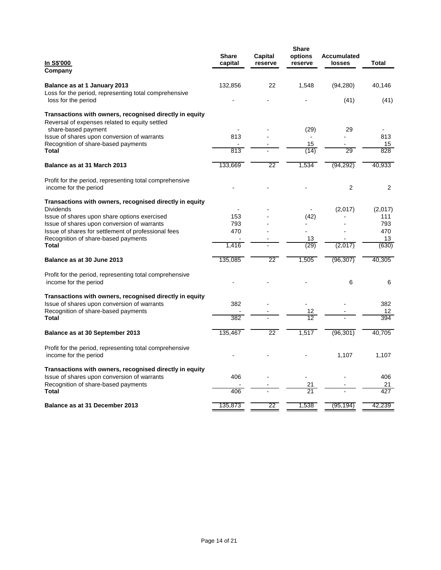| In S\$'000<br>Company                                                                                     | <b>Share</b><br>capital | Capital<br>reserve | <b>Share</b><br>options<br>reserve | Accumulated<br>losses | <b>Total</b>   |
|-----------------------------------------------------------------------------------------------------------|-------------------------|--------------------|------------------------------------|-----------------------|----------------|
| Balance as at 1 January 2013<br>Loss for the period, representing total comprehensive                     | 132,856                 | 22                 | 1,548                              | (94, 280)             | 40,146         |
| loss for the period                                                                                       |                         |                    |                                    | (41)                  | (41)           |
| Transactions with owners, recognised directly in equity<br>Reversal of expenses related to equity settled |                         |                    |                                    |                       |                |
| share-based payment                                                                                       |                         |                    | (29)                               | 29                    |                |
| Issue of shares upon conversion of warrants<br>Recognition of share-based payments                        | 813                     |                    | $\overline{a}$<br>15               |                       | 813<br>15      |
| Total                                                                                                     | $\overline{813}$        |                    | (14)                               | 29                    | 828            |
| Balance as at 31 March 2013                                                                               | 133,669                 | 22                 | 1,534                              | (94, 292)             | 40,933         |
| Profit for the period, representing total comprehensive                                                   |                         |                    |                                    |                       |                |
| income for the period                                                                                     |                         |                    |                                    | $\overline{2}$        | 2              |
| Transactions with owners, recognised directly in equity                                                   |                         |                    |                                    |                       |                |
| Dividends                                                                                                 | 153                     |                    |                                    | (2,017)               | (2,017)<br>111 |
| Issue of shares upon share options exercised<br>Issue of shares upon conversion of warrants               | 793                     |                    | (42)                               |                       | 793            |
| Issue of shares for settlement of professional fees                                                       | 470                     |                    |                                    |                       | 470            |
| Recognition of share-based payments                                                                       |                         |                    | 13                                 |                       | 13             |
| Total                                                                                                     | 1,416                   |                    | (29)                               | (2,017)               | (630)          |
| Balance as at 30 June 2013                                                                                | 135,085                 | 22                 | 1,505                              | (96, 307)             | 40,305         |
| Profit for the period, representing total comprehensive<br>income for the period                          |                         |                    |                                    | 6                     | 6              |
| Transactions with owners, recognised directly in equity                                                   |                         |                    |                                    |                       |                |
| Issue of shares upon conversion of warrants                                                               | 382                     |                    |                                    |                       | 382            |
| Recognition of share-based payments                                                                       | 382                     |                    | 12<br>$\overline{12}$              |                       | 12<br>394      |
| Total                                                                                                     |                         |                    |                                    |                       |                |
| Balance as at 30 September 2013                                                                           | 135,467                 | 22                 | 1.517                              | (96, 301)             | 40.705         |
| Profit for the period, representing total comprehensive<br>income for the period                          |                         |                    |                                    | 1,107                 | 1,107          |
| Transactions with owners, recognised directly in equity                                                   |                         |                    |                                    |                       |                |
| Issue of shares upon conversion of warrants                                                               | 406                     |                    |                                    |                       | 406            |
| Recognition of share-based payments<br>Total                                                              | 406                     |                    | 21<br>21                           |                       | 21<br>427      |
| Balance as at 31 December 2013                                                                            | 135,873                 | 22                 | 1,538                              | (95, 194)             | 42,239         |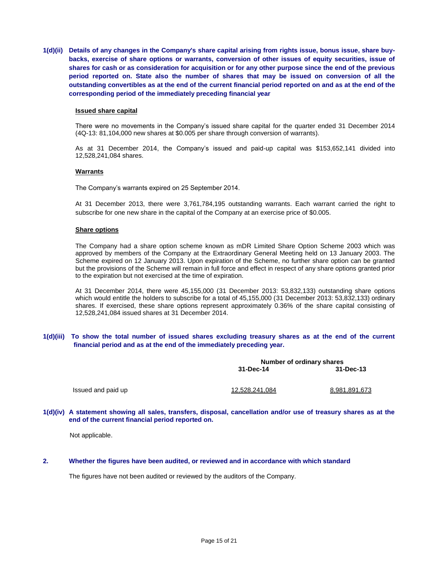**1(d)(ii) Details of any changes in the Company's share capital arising from rights issue, bonus issue, share buybacks, exercise of share options or warrants, conversion of other issues of equity securities, issue of shares for cash or as consideration for acquisition or for any other purpose since the end of the previous period reported on. State also the number of shares that may be issued on conversion of all the outstanding convertibles as at the end of the current financial period reported on and as at the end of the corresponding period of the immediately preceding financial year**

#### **Issued share capital**

There were no movements in the Company's issued share capital for the quarter ended 31 December 2014 (4Q-13: 81,104,000 new shares at \$0.005 per share through conversion of warrants).

As at 31 December 2014, the Company's issued and paid-up capital was \$153,652,141 divided into 12,528,241,084 shares.

#### **Warrants**

The Company's warrants expired on 25 September 2014.

At 31 December 2013, there were 3,761,784,195 outstanding warrants. Each warrant carried the right to subscribe for one new share in the capital of the Company at an exercise price of \$0.005.

#### **Share options**

The Company had a share option scheme known as mDR Limited Share Option Scheme 2003 which was approved by members of the Company at the Extraordinary General Meeting held on 13 January 2003. The Scheme expired on 12 January 2013. Upon expiration of the Scheme, no further share option can be granted but the provisions of the Scheme will remain in full force and effect in respect of any share options granted prior to the expiration but not exercised at the time of expiration.

At 31 December 2014, there were 45,155,000 (31 December 2013: 53,832,133) outstanding share options which would entitle the holders to subscribe for a total of 45,155,000 (31 December 2013: 53,832,133) ordinary shares. If exercised, these share options represent approximately 0.36% of the share capital consisting of 12,528,241,084 issued shares at 31 December 2014.

### **1(d)(iii) To show the total number of issued shares excluding treasury shares as at the end of the current financial period and as at the end of the immediately preceding year.**

| Number of ordinary shares |               |  |
|---------------------------|---------------|--|
| 31-Dec-14                 | 31-Dec-13     |  |
| <u>12,528,241,084</u>     | 8,981,891,673 |  |
|                           |               |  |

#### **1(d)(iv) A statement showing all sales, transfers, disposal, cancellation and/or use of treasury shares as at the end of the current financial period reported on.**

Not applicable.

### **2. Whether the figures have been audited, or reviewed and in accordance with which standard**

The figures have not been audited or reviewed by the auditors of the Company.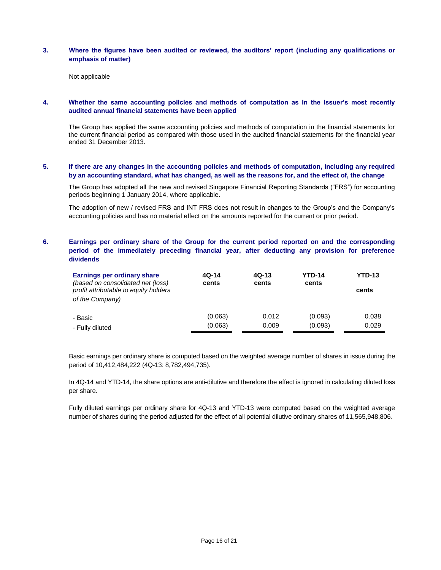### **3. Where the figures have been audited or reviewed, the auditors' report (including any qualifications or emphasis of matter)**

Not applicable

## **4. Whether the same accounting policies and methods of computation as in the issuer's most recently audited annual financial statements have been applied**

The Group has applied the same accounting policies and methods of computation in the financial statements for the current financial period as compared with those used in the audited financial statements for the financial year ended 31 December 2013.

### **5. If there are any changes in the accounting policies and methods of computation, including any required by an accounting standard, what has changed, as well as the reasons for, and the effect of, the change**

The Group has adopted all the new and revised Singapore Financial Reporting Standards ("FRS") for accounting periods beginning 1 January 2014, where applicable.

The adoption of new / revised FRS and INT FRS does not result in changes to the Group's and the Company's accounting policies and has no material effect on the amounts reported for the current or prior period.

## **6. Earnings per ordinary share of the Group for the current period reported on and the corresponding period of the immediately preceding financial year, after deducting any provision for preference dividends**

| Earnings per ordinary share<br>(based on consolidated net (loss)<br>profit attributable to equity holders<br>of the Company) | 4Q-14<br>cents | $4Q-13$<br>cents | <b>YTD-14</b><br>cents | <b>YTD-13</b><br>cents |
|------------------------------------------------------------------------------------------------------------------------------|----------------|------------------|------------------------|------------------------|
| - Basic                                                                                                                      | (0.063)        | 0.012            | (0.093)                | 0.038                  |
| - Fully diluted                                                                                                              | (0.063)        | 0.009            | (0.093)                | 0.029                  |

Basic earnings per ordinary share is computed based on the weighted average number of shares in issue during the period of 10,412,484,222 (4Q-13: 8,782,494,735).

In 4Q-14 and YTD-14, the share options are anti-dilutive and therefore the effect is ignored in calculating diluted loss per share.

Fully diluted earnings per ordinary share for 4Q-13 and YTD-13 were computed based on the weighted average number of shares during the period adjusted for the effect of all potential dilutive ordinary shares of 11,565,948,806.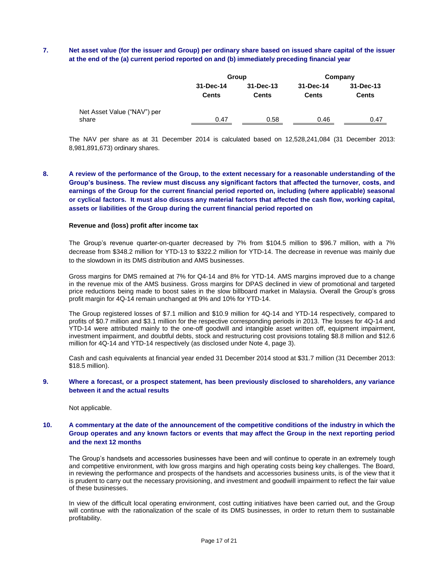## **7. Net asset value (for the issuer and Group) per ordinary share based on issued share capital of the issuer at the end of the (a) current period reported on and (b) immediately preceding financial year**

|                                      |                           | Group                     |                    | Company                   |
|--------------------------------------|---------------------------|---------------------------|--------------------|---------------------------|
|                                      | 31-Dec-14<br><b>Cents</b> | 31-Dec-13<br><b>Cents</b> | 31-Dec-14<br>Cents | 31-Dec-13<br><b>Cents</b> |
| Net Asset Value ("NAV") per<br>share | 0.47                      | 0.58                      | 0.46               | 0.47                      |

The NAV per share as at 31 December 2014 is calculated based on 12,528,241,084 (31 December 2013: 8,981,891,673) ordinary shares.

**8. A review of the performance of the Group, to the extent necessary for a reasonable understanding of the Group's business. The review must discuss any significant factors that affected the turnover, costs, and earnings of the Group for the current financial period reported on, including (where applicable) seasonal or cyclical factors. It must also discuss any material factors that affected the cash flow, working capital, assets or liabilities of the Group during the current financial period reported on**

#### **Revenue and (loss) profit after income tax**

The Group's revenue quarter-on-quarter decreased by 7% from \$104.5 million to \$96.7 million, with a 7% decrease from \$348.2 million for YTD-13 to \$322.2 million for YTD-14. The decrease in revenue was mainly due to the slowdown in its DMS distribution and AMS businesses.

Gross margins for DMS remained at 7% for Q4-14 and 8% for YTD-14. AMS margins improved due to a change in the revenue mix of the AMS business. Gross margins for DPAS declined in view of promotional and targeted price reductions being made to boost sales in the slow billboard market in Malaysia. Overall the Group's gross profit margin for 4Q-14 remain unchanged at 9% and 10% for YTD-14.

The Group registered losses of \$7.1 million and \$10.9 million for 4Q-14 and YTD-14 respectively, compared to profits of \$0.7 million and \$3.1 million for the respective corresponding periods in 2013. The losses for 4Q-14 and YTD-14 were attributed mainly to the one-off goodwill and intangible asset written off, equipment impairment, investment impairment, and doubtful debts, stock and restructuring cost provisions totaling \$8.8 million and \$12.6 million for 4Q-14 and YTD-14 respectively (as disclosed under Note 4, page 3).

Cash and cash equivalents at financial year ended 31 December 2014 stood at \$31.7 million (31 December 2013: \$18.5 million).

#### **9. Where a forecast, or a prospect statement, has been previously disclosed to shareholders, any variance between it and the actual results**

Not applicable.

## **10. A commentary at the date of the announcement of the competitive conditions of the industry in which the Group operates and any known factors or events that may affect the Group in the next reporting period and the next 12 months**

The Group's handsets and accessories businesses have been and will continue to operate in an extremely tough and competitive environment, with low gross margins and high operating costs being key challenges. The Board, in reviewing the performance and prospects of the handsets and accessories business units, is of the view that it is prudent to carry out the necessary provisioning, and investment and goodwill impairment to reflect the fair value of these businesses.

In view of the difficult local operating environment, cost cutting initiatives have been carried out, and the Group will continue with the rationalization of the scale of its DMS businesses, in order to return them to sustainable profitability.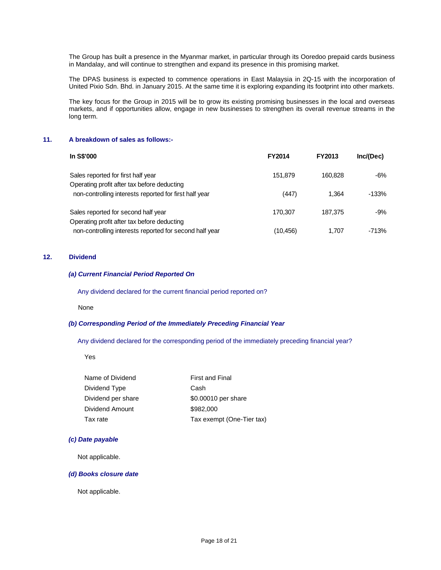The Group has built a presence in the Myanmar market, in particular through its Ooredoo prepaid cards business in Mandalay, and will continue to strengthen and expand its presence in this promising market.

The DPAS business is expected to commence operations in East Malaysia in 2Q-15 with the incorporation of United Pixio Sdn. Bhd. in January 2015. At the same time it is exploring expanding its footprint into other markets.

The key focus for the Group in 2015 will be to grow its existing promising businesses in the local and overseas markets, and if opportunities allow, engage in new businesses to strengthen its overall revenue streams in the long term.

#### **11. A breakdown of sales as follows:-**

| In S\$'000                                                                         | <b>FY2014</b> | <b>FY2013</b> | Inc/(Dec) |
|------------------------------------------------------------------------------------|---------------|---------------|-----------|
| Sales reported for first half year<br>Operating profit after tax before deducting  | 151.879       | 160.828       | -6%       |
| non-controlling interests reported for first half year                             | (447)         | 1.364         | -133%     |
| Sales reported for second half year<br>Operating profit after tax before deducting | 170.307       | 187.375       | -9%       |
| non-controlling interests reported for second half year                            | (10,456)      | 1.707         | -713%     |

#### **12. Dividend**

### *(a) Current Financial Period Reported On*

Any dividend declared for the current financial period reported on?

None

### *(b) Corresponding Period of the Immediately Preceding Financial Year*

Any dividend declared for the corresponding period of the immediately preceding financial year?

Yes

| Name of Dividend   | <b>First and Final</b>    |
|--------------------|---------------------------|
| Dividend Type      | Cash                      |
| Dividend per share | \$0.00010 per share       |
| Dividend Amount    | \$982,000                 |
| Tax rate           | Tax exempt (One-Tier tax) |

### *(c) Date payable*

Not applicable.

#### *(d) Books closure date*

Not applicable.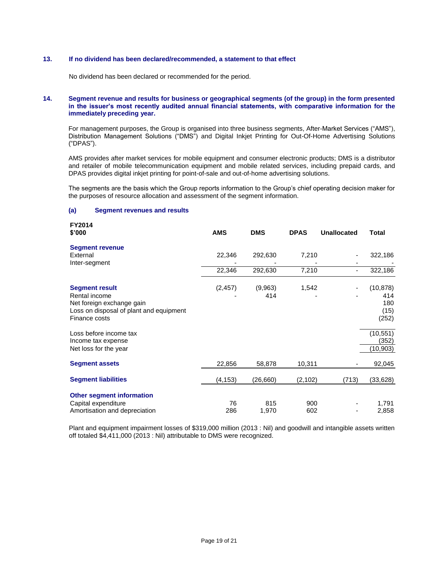### **13. If no dividend has been declared/recommended, a statement to that effect**

No dividend has been declared or recommended for the period.

#### **14. Segment revenue and results for business or geographical segments (of the group) in the form presented in the issuer's most recently audited annual financial statements, with comparative information for the immediately preceding year.**

For management purposes, the Group is organised into three business segments, After-Market Services ("AMS"), Distribution Management Solutions ("DMS") and Digital Inkjet Printing for Out-Of-Home Advertising Solutions ("DPAS").

AMS provides after market services for mobile equipment and consumer electronic products; DMS is a distributor and retailer of mobile telecommunication equipment and mobile related services, including prepaid cards, and DPAS provides digital inkjet printing for point-of-sale and out-of-home advertising solutions.

The segments are the basis which the Group reports information to the Group's chief operating decision maker for the purposes of resource allocation and assessment of the segment information.

#### **(a) Segment revenues and results**

| <b>FY2014</b><br>\$'000                                                                                                         | <b>AMS</b> | <b>DMS</b>     | <b>DPAS</b> | <b>Unallocated</b> | <b>Total</b>                             |
|---------------------------------------------------------------------------------------------------------------------------------|------------|----------------|-------------|--------------------|------------------------------------------|
| <b>Segment revenue</b><br>External<br>Inter-segment                                                                             | 22,346     | 292,630        | 7,210       |                    | 322,186                                  |
|                                                                                                                                 | 22,346     | 292,630        | 7,210       | -                  | 322,186                                  |
| <b>Segment result</b><br>Rental income<br>Net foreign exchange gain<br>Loss on disposal of plant and equipment<br>Finance costs | (2, 457)   | (9,963)<br>414 | 1,542       |                    | (10, 878)<br>414<br>180<br>(15)<br>(252) |
| Loss before income tax<br>Income tax expense<br>Net loss for the year                                                           |            |                |             |                    | (10, 551)<br>(352)<br>(10, 903)          |
| <b>Segment assets</b>                                                                                                           | 22,856     | 58,878         | 10,311      |                    | 92,045                                   |
| <b>Segment liabilities</b>                                                                                                      | (4, 153)   | (26, 660)      | (2, 102)    | (713)              | (33, 628)                                |
| <b>Other segment information</b><br>Capital expenditure<br>Amortisation and depreciation                                        | 76<br>286  | 815<br>1,970   | 900<br>602  |                    | 1,791<br>2,858                           |

Plant and equipment impairment losses of \$319,000 million (2013 : Nil) and goodwill and intangible assets written off totaled \$4,411,000 (2013 : Nil) attributable to DMS were recognized.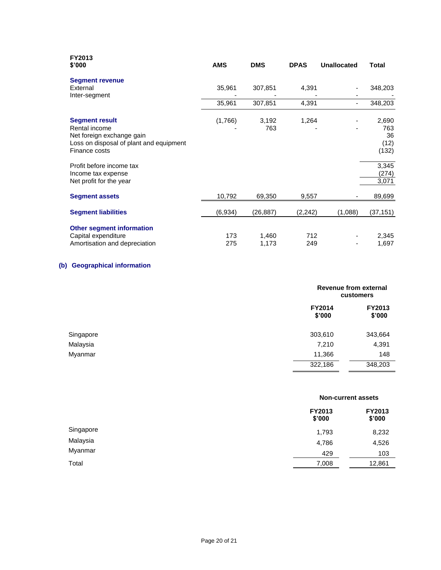| FY2013<br>\$'000                                                                                                                                                                                             | <b>AMS</b> | <b>DMS</b>     | <b>DPAS</b> | <b>Unallocated</b> | <b>Total</b>                                                   |
|--------------------------------------------------------------------------------------------------------------------------------------------------------------------------------------------------------------|------------|----------------|-------------|--------------------|----------------------------------------------------------------|
| <b>Segment revenue</b><br>External<br>Inter-segment                                                                                                                                                          | 35,961     | 307,851        | 4,391       |                    | 348,203                                                        |
|                                                                                                                                                                                                              | 35,961     | 307,851        | 4,391       |                    | 348,203                                                        |
| <b>Segment result</b><br>Rental income<br>Net foreign exchange gain<br>Loss on disposal of plant and equipment<br>Finance costs<br>Profit before income tax<br>Income tax expense<br>Net profit for the year | (1,766)    | 3,192<br>763   | 1,264       |                    | 2,690<br>763<br>36<br>(12)<br>(132)<br>3,345<br>(274)<br>3,071 |
| <b>Segment assets</b>                                                                                                                                                                                        | 10,792     | 69,350         | 9,557       |                    | 89,699                                                         |
| <b>Segment liabilities</b>                                                                                                                                                                                   | (6,934)    | (26, 887)      | (2, 242)    | (1,088)            | (37, 151)                                                      |
| <b>Other segment information</b><br>Capital expenditure<br>Amortisation and depreciation                                                                                                                     | 173<br>275 | 1,460<br>1,173 | 712<br>249  |                    | 2,345<br>1,697                                                 |

# **(b) Geographical information**

|           |                         | Revenue from external<br>customers |  |  |
|-----------|-------------------------|------------------------------------|--|--|
|           | <b>FY2014</b><br>\$'000 | FY2013<br>\$'000                   |  |  |
| Singapore | 303,610                 | 343,664                            |  |  |
| Malaysia  | 7,210                   | 4,391                              |  |  |
| Myanmar   | 11,366                  | 148                                |  |  |
|           | 322,186                 | 348,203                            |  |  |

# **Non-current assets**

| FY2013<br>\$'000 | FY2013<br>\$'000 |
|------------------|------------------|
| 1,793            | 8,232            |
| 4,786            | 4,526            |
| 429              | 103              |
| 7,008            | 12,861           |
|                  |                  |